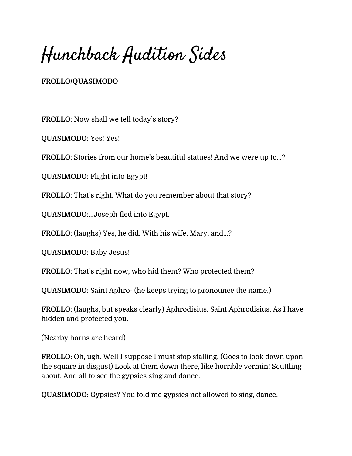Hunchback Audition Sides

## **FROLLO/QUASIMODO**

**FROLLO**: Now shall we tell today's story?

**QUASIMODO**: Yes! Yes!

**FROLLO**: Stories from our home's beautiful statues! And we were up to...?

**QUASIMODO**: Flight into Egypt!

**FROLLO**: That's right. What do you remember about that story?

**QUASIMODO**:...Joseph fled into Egypt.

**FROLLO**: (laughs) Yes, he did. With his wife, Mary, and...?

**QUASIMODO**: Baby Jesus!

**FROLLO**: That's right now, who hid them? Who protected them?

**QUASIMODO**: Saint Aphro- (he keeps trying to pronounce the name.)

**FROLLO**: (laughs, but speaks clearly) Aphrodisius. Saint Aphrodisius. As I have hidden and protected you.

(Nearby horns are heard)

**FROLLO**: Oh, ugh. Well I suppose I must stop stalling. (Goes to look down upon the square in disgust) Look at them down there, like horrible vermin! Scuttling about. And all to see the gypsies sing and dance.

**QUASIMODO**: Gypsies? You told me gypsies not allowed to sing, dance.